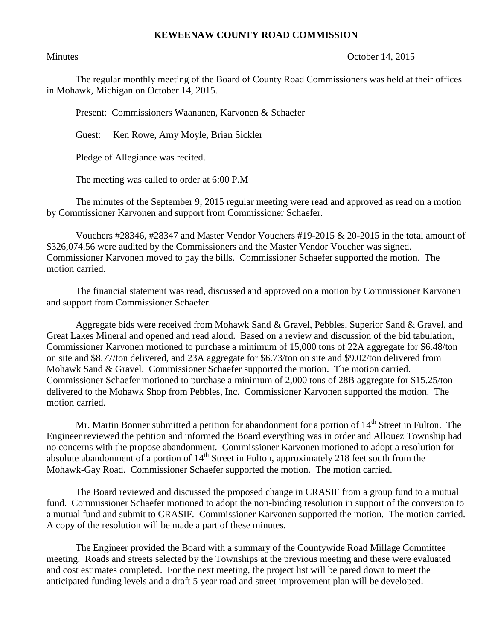## **KEWEENAW COUNTY ROAD COMMISSION**

## Minutes **October 14, 2015**

The regular monthly meeting of the Board of County Road Commissioners was held at their offices in Mohawk, Michigan on October 14, 2015.

Present: Commissioners Waananen, Karvonen & Schaefer

Guest: Ken Rowe, Amy Moyle, Brian Sickler

Pledge of Allegiance was recited.

The meeting was called to order at 6:00 P.M

The minutes of the September 9, 2015 regular meeting were read and approved as read on a motion by Commissioner Karvonen and support from Commissioner Schaefer.

Vouchers #28346, #28347 and Master Vendor Vouchers #19-2015  $\&$  20-2015 in the total amount of \$326,074.56 were audited by the Commissioners and the Master Vendor Voucher was signed. Commissioner Karvonen moved to pay the bills. Commissioner Schaefer supported the motion. The motion carried.

The financial statement was read, discussed and approved on a motion by Commissioner Karvonen and support from Commissioner Schaefer.

Aggregate bids were received from Mohawk Sand & Gravel, Pebbles, Superior Sand & Gravel, and Great Lakes Mineral and opened and read aloud. Based on a review and discussion of the bid tabulation, Commissioner Karvonen motioned to purchase a minimum of 15,000 tons of 22A aggregate for \$6.48/ton on site and \$8.77/ton delivered, and 23A aggregate for \$6.73/ton on site and \$9.02/ton delivered from Mohawk Sand & Gravel. Commissioner Schaefer supported the motion. The motion carried. Commissioner Schaefer motioned to purchase a minimum of 2,000 tons of 28B aggregate for \$15.25/ton delivered to the Mohawk Shop from Pebbles, Inc. Commissioner Karvonen supported the motion. The motion carried.

Mr. Martin Bonner submitted a petition for abandonment for a portion of  $14<sup>th</sup>$  Street in Fulton. The Engineer reviewed the petition and informed the Board everything was in order and Allouez Township had no concerns with the propose abandonment. Commissioner Karvonen motioned to adopt a resolution for absolute abandonment of a portion of  $14<sup>th</sup>$  Street in Fulton, approximately 218 feet south from the Mohawk-Gay Road. Commissioner Schaefer supported the motion. The motion carried.

The Board reviewed and discussed the proposed change in CRASIF from a group fund to a mutual fund. Commissioner Schaefer motioned to adopt the non-binding resolution in support of the conversion to a mutual fund and submit to CRASIF. Commissioner Karvonen supported the motion. The motion carried. A copy of the resolution will be made a part of these minutes.

The Engineer provided the Board with a summary of the Countywide Road Millage Committee meeting. Roads and streets selected by the Townships at the previous meeting and these were evaluated and cost estimates completed. For the next meeting, the project list will be pared down to meet the anticipated funding levels and a draft 5 year road and street improvement plan will be developed.